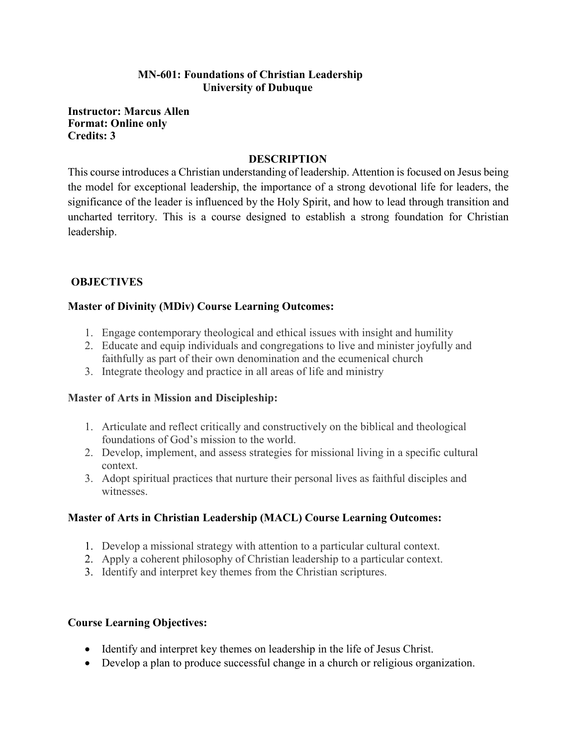#### **MN-601: Foundations of Christian Leadership University of Dubuque**

**Instructor: Marcus Allen Format: Online only Credits: 3**

#### **DESCRIPTION**

This course introduces a Christian understanding of leadership. Attention is focused on Jesus being the model for exceptional leadership, the importance of a strong devotional life for leaders, the significance of the leader is influenced by the Holy Spirit, and how to lead through transition and uncharted territory. This is a course designed to establish a strong foundation for Christian leadership.

# **OBJECTIVES**

#### **Master of Divinity (MDiv) Course Learning Outcomes:**

- 1. Engage contemporary theological and ethical issues with insight and humility
- 2. Educate and equip individuals and congregations to live and minister joyfully and faithfully as part of their own denomination and the ecumenical church
- 3. Integrate theology and practice in all areas of life and ministry

# **Master of Arts in Mission and Discipleship:**

- 1. Articulate and reflect critically and constructively on the biblical and theological foundations of God's mission to the world.
- 2. Develop, implement, and assess strategies for missional living in a specific cultural context.
- 3. Adopt spiritual practices that nurture their personal lives as faithful disciples and witnesses.

# **Master of Arts in Christian Leadership (MACL) Course Learning Outcomes:**

- 1. Develop a missional strategy with attention to a particular cultural context.
- 2. Apply a coherent philosophy of Christian leadership to a particular context.
- 3. Identify and interpret key themes from the Christian scriptures.

# **Course Learning Objectives:**

- Identify and interpret key themes on leadership in the life of Jesus Christ.
- Develop a plan to produce successful change in a church or religious organization.